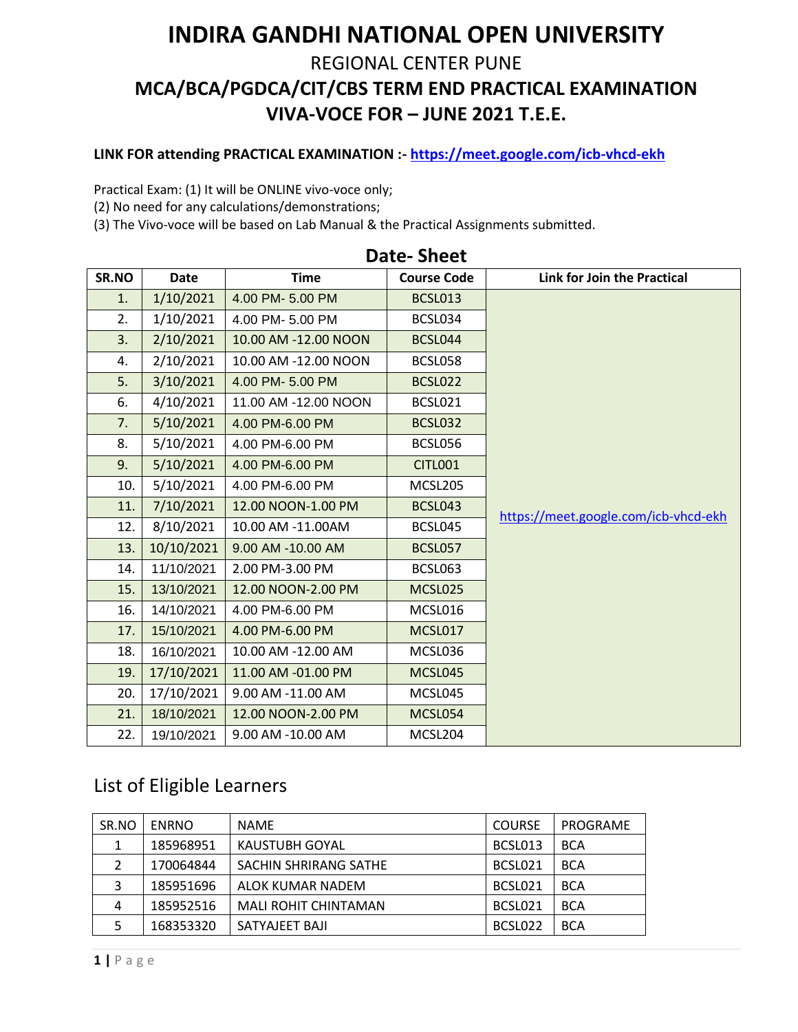## **INDIRA GANDHI NATIONAL OPEN UNIVERSITY**  REGIONAL CENTER PUNE **MCA/BCA/PGDCA/CIT/CBS TERM END PRACTICAL EXAMINATION VIVA-VOCE FOR – JUNE 2021 T.E.E.**

## **LINK FOR attending PRACTICAL EXAMINATION :- <https://meet.google.com/icb-vhcd-ekh>**

Practical Exam: (1) It will be ONLINE vivo-voce only;

(2) No need for any calculations/demonstrations;

(3) The Vivo-voce will be based on Lab Manual & the Practical Assignments submitted.

| SR.NO | <b>Date</b> | <b>Time</b>          | <b>Course Code</b> | Link for Join the Practical          |
|-------|-------------|----------------------|--------------------|--------------------------------------|
| 1.    | 1/10/2021   | 4.00 PM- 5.00 PM     | BCSL013            |                                      |
| 2.    | 1/10/2021   | 4.00 PM- 5.00 PM     | BCSL034            |                                      |
| 3.    | 2/10/2021   | 10.00 AM -12.00 NOON | BCSL044            |                                      |
| 4.    | 2/10/2021   | 10.00 AM -12.00 NOON | BCSL058            |                                      |
| 5.    | 3/10/2021   | 4.00 PM- 5.00 PM     | BCSL022            |                                      |
| 6.    | 4/10/2021   | 11.00 AM -12.00 NOON | BCSL021            |                                      |
| 7.    | 5/10/2021   | 4.00 PM-6.00 PM      | <b>BCSL032</b>     |                                      |
| 8.    | 5/10/2021   | 4.00 PM-6.00 PM      | BCSL056            |                                      |
| 9.    | 5/10/2021   | 4.00 PM-6.00 PM      | <b>CITL001</b>     |                                      |
| 10.   | 5/10/2021   | 4.00 PM-6.00 PM      | MCSL205            |                                      |
| 11.   | 7/10/2021   | 12.00 NOON-1.00 PM   | <b>BCSL043</b>     | https://meet.google.com/icb-vhcd-ekh |
| 12.   | 8/10/2021   | 10.00 AM -11.00AM    | BCSL045            |                                      |
| 13.   | 10/10/2021  | 9.00 AM -10.00 AM    | <b>BCSL057</b>     |                                      |
| 14.   | 11/10/2021  | 2.00 PM-3.00 PM      | BCSL063            |                                      |
| 15.   | 13/10/2021  | 12.00 NOON-2.00 PM   | MCSL025            |                                      |
| 16.   | 14/10/2021  | 4.00 PM-6.00 PM      | MCSL016            |                                      |
| 17.   | 15/10/2021  | 4.00 PM-6.00 PM      | MCSL017            |                                      |
| 18.   | 16/10/2021  | 10.00 AM -12.00 AM   | MCSL036            |                                      |
| 19.   | 17/10/2021  | 11.00 AM -01.00 PM   | MCSL045            |                                      |
| 20.   | 17/10/2021  | 9.00 AM -11.00 AM    | MCSL045            |                                      |
| 21.   | 18/10/2021  | 12.00 NOON-2.00 PM   | MCSL054            |                                      |
| 22.   | 19/10/2021  | 9.00 AM -10.00 AM    | MCSL204            |                                      |

## **Date- Sheet**

## List of Eligible Learners

| SR.NO | <b>ENRNO</b> | <b>NAME</b>                 | <b>COURSE</b> | PROGRAME   |
|-------|--------------|-----------------------------|---------------|------------|
| 1     | 185968951    | KAUSTUBH GOYAL              | BCSL013       | <b>BCA</b> |
|       | 170064844    | SACHIN SHRIRANG SATHE       | BCSL021       | <b>BCA</b> |
|       | 185951696    | ALOK KUMAR NADEM            | BCSL021       | <b>BCA</b> |
| 4     | 185952516    | <b>MALI ROHIT CHINTAMAN</b> | BCSL021       | <b>BCA</b> |
|       | 168353320    | SATYAJEET BAJI              | BCSL022       | <b>BCA</b> |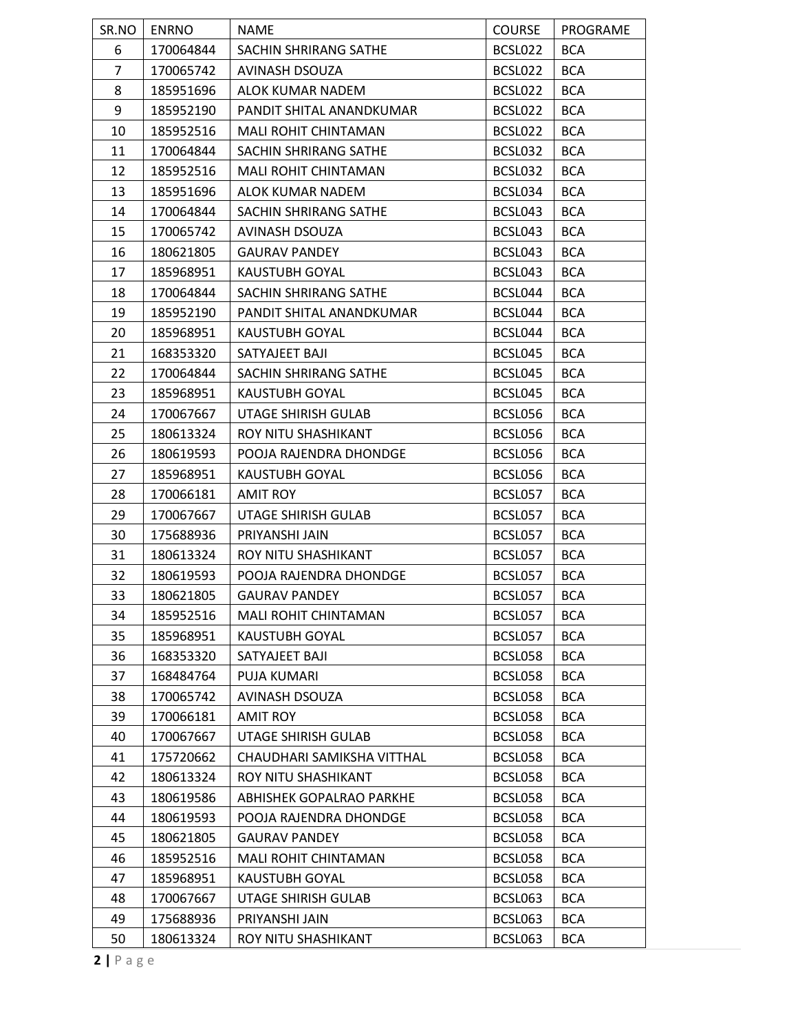| SR.NO          | <b>ENRNO</b> | <b>NAME</b>                 | <b>COURSE</b> | PROGRAME   |
|----------------|--------------|-----------------------------|---------------|------------|
| 6              | 170064844    | SACHIN SHRIRANG SATHE       | BCSL022       | <b>BCA</b> |
| $\overline{7}$ | 170065742    | AVINASH DSOUZA              | BCSL022       | <b>BCA</b> |
| 8              | 185951696    | ALOK KUMAR NADEM            | BCSL022       | <b>BCA</b> |
| 9              | 185952190    | PANDIT SHITAL ANANDKUMAR    | BCSL022       | <b>BCA</b> |
| 10             | 185952516    | <b>MALI ROHIT CHINTAMAN</b> | BCSL022       | <b>BCA</b> |
| 11             | 170064844    | SACHIN SHRIRANG SATHE       | BCSL032       | <b>BCA</b> |
| 12             | 185952516    | <b>MALI ROHIT CHINTAMAN</b> | BCSL032       | <b>BCA</b> |
| 13             | 185951696    | ALOK KUMAR NADEM            | BCSL034       | <b>BCA</b> |
| 14             | 170064844    | SACHIN SHRIRANG SATHE       | BCSL043       | <b>BCA</b> |
| 15             | 170065742    | AVINASH DSOUZA              | BCSL043       | <b>BCA</b> |
| 16             | 180621805    | <b>GAURAV PANDEY</b>        | BCSL043       | <b>BCA</b> |
| 17             | 185968951    | KAUSTUBH GOYAL              | BCSL043       | <b>BCA</b> |
| 18             | 170064844    | SACHIN SHRIRANG SATHE       | BCSL044       | <b>BCA</b> |
| 19             | 185952190    | PANDIT SHITAL ANANDKUMAR    | BCSL044       | <b>BCA</b> |
| 20             | 185968951    | KAUSTUBH GOYAL              | BCSL044       | <b>BCA</b> |
| 21             | 168353320    | SATYAJEET BAJI              | BCSL045       | <b>BCA</b> |
| 22             | 170064844    | SACHIN SHRIRANG SATHE       | BCSL045       | <b>BCA</b> |
| 23             | 185968951    | <b>KAUSTUBH GOYAL</b>       | BCSL045       | <b>BCA</b> |
| 24             | 170067667    | UTAGE SHIRISH GULAB         | BCSL056       | <b>BCA</b> |
| 25             | 180613324    | ROY NITU SHASHIKANT         | BCSL056       | <b>BCA</b> |
| 26             | 180619593    | POOJA RAJENDRA DHONDGE      | BCSL056       | <b>BCA</b> |
| 27             | 185968951    | KAUSTUBH GOYAL              | BCSL056       | <b>BCA</b> |
| 28             | 170066181    | <b>AMIT ROY</b>             | BCSL057       | <b>BCA</b> |
| 29             | 170067667    | UTAGE SHIRISH GULAB         | BCSL057       | <b>BCA</b> |
| 30             | 175688936    | PRIYANSHI JAIN              | BCSL057       | <b>BCA</b> |
| 31             | 180613324    | ROY NITU SHASHIKANT         | BCSL057       | <b>BCA</b> |
| 32             | 180619593    | POOJA RAJENDRA DHONDGE      | BCSL057       | <b>BCA</b> |
| 33             | 180621805    | <b>GAURAV PANDEY</b>        | BCSL057       | <b>BCA</b> |
| 34             | 185952516    | MALI ROHIT CHINTAMAN        | BCSL057       | <b>BCA</b> |
| 35             | 185968951    | KAUSTUBH GOYAL              | BCSL057       | <b>BCA</b> |
| 36             | 168353320    | SATYAJEET BAJI              | BCSL058       | <b>BCA</b> |
| 37             | 168484764    | PUJA KUMARI                 | BCSL058       | <b>BCA</b> |
| 38             | 170065742    | AVINASH DSOUZA              | BCSL058       | <b>BCA</b> |
| 39             | 170066181    | <b>AMIT ROY</b>             | BCSL058       | <b>BCA</b> |
| 40             | 170067667    | UTAGE SHIRISH GULAB         | BCSL058       | <b>BCA</b> |
| 41             | 175720662    | CHAUDHARI SAMIKSHA VITTHAL  | BCSL058       | <b>BCA</b> |
| 42             | 180613324    | ROY NITU SHASHIKANT         | BCSL058       | <b>BCA</b> |
| 43             | 180619586    | ABHISHEK GOPALRAO PARKHE    | BCSL058       | <b>BCA</b> |
| 44             | 180619593    | POOJA RAJENDRA DHONDGE      | BCSL058       | <b>BCA</b> |
| 45             | 180621805    | <b>GAURAV PANDEY</b>        | BCSL058       | <b>BCA</b> |
| 46             | 185952516    | <b>MALI ROHIT CHINTAMAN</b> | BCSL058       | <b>BCA</b> |
| 47             | 185968951    | KAUSTUBH GOYAL              | BCSL058       | <b>BCA</b> |
| 48             | 170067667    | UTAGE SHIRISH GULAB         | BCSL063       | <b>BCA</b> |
| 49             | 175688936    | PRIYANSHI JAIN              | BCSL063       | <b>BCA</b> |
| 50             | 180613324    | ROY NITU SHASHIKANT         | BCSL063       | <b>BCA</b> |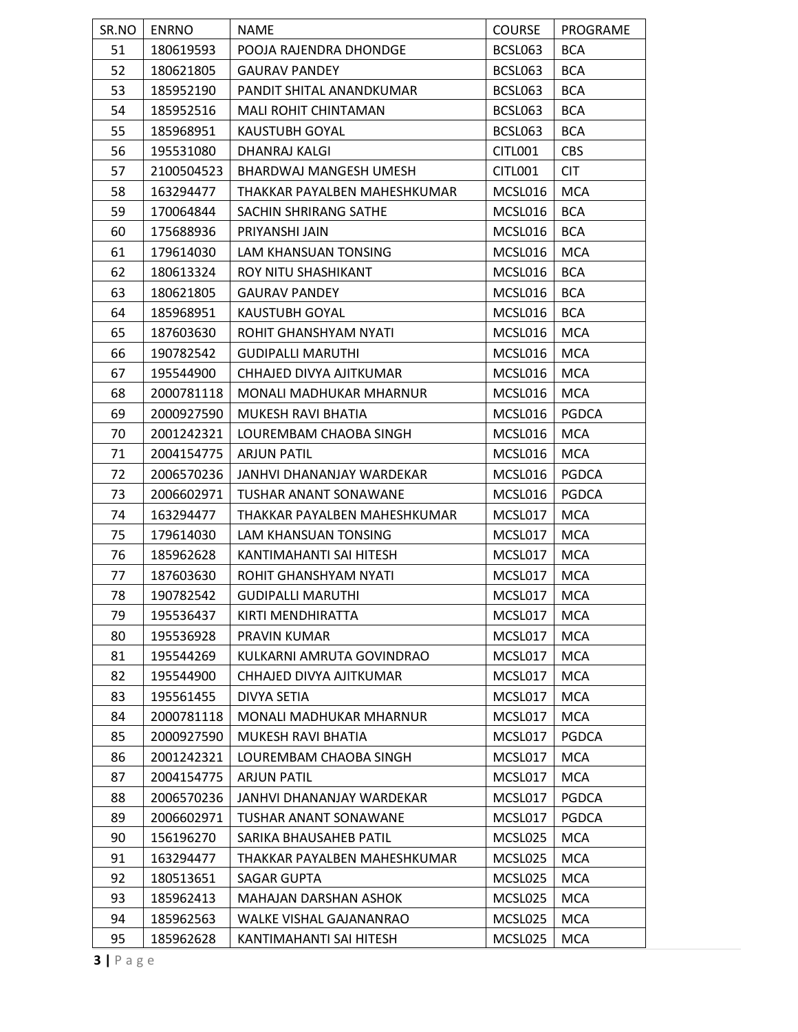| SR.NO | <b>ENRNO</b> | <b>NAME</b>                  | <b>COURSE</b> | PROGRAME     |
|-------|--------------|------------------------------|---------------|--------------|
| 51    | 180619593    | POOJA RAJENDRA DHONDGE       | BCSL063       | <b>BCA</b>   |
| 52    | 180621805    | <b>GAURAV PANDEY</b>         | BCSL063       | <b>BCA</b>   |
| 53    | 185952190    | PANDIT SHITAL ANANDKUMAR     | BCSL063       | <b>BCA</b>   |
| 54    | 185952516    | MALI ROHIT CHINTAMAN         | BCSL063       | <b>BCA</b>   |
| 55    | 185968951    | KAUSTUBH GOYAL               | BCSL063       | <b>BCA</b>   |
| 56    | 195531080    | DHANRAJ KALGI                | CITL001       | <b>CBS</b>   |
| 57    | 2100504523   | BHARDWAJ MANGESH UMESH       | CITL001       | <b>CIT</b>   |
| 58    | 163294477    | THAKKAR PAYALBEN MAHESHKUMAR | MCSL016       | <b>MCA</b>   |
| 59    | 170064844    | SACHIN SHRIRANG SATHE        | MCSL016       | <b>BCA</b>   |
| 60    | 175688936    | PRIYANSHI JAIN               | MCSL016       | <b>BCA</b>   |
| 61    | 179614030    | LAM KHANSUAN TONSING         | MCSL016       | <b>MCA</b>   |
| 62    | 180613324    | ROY NITU SHASHIKANT          | MCSL016       | <b>BCA</b>   |
| 63    | 180621805    | <b>GAURAV PANDEY</b>         | MCSL016       | <b>BCA</b>   |
| 64    | 185968951    | <b>KAUSTUBH GOYAL</b>        | MCSL016       | <b>BCA</b>   |
| 65    | 187603630    | ROHIT GHANSHYAM NYATI        | MCSL016       | <b>MCA</b>   |
| 66    | 190782542    | <b>GUDIPALLI MARUTHI</b>     | MCSL016       | <b>MCA</b>   |
| 67    | 195544900    | CHHAJED DIVYA AJITKUMAR      | MCSL016       | <b>MCA</b>   |
| 68    | 2000781118   | MONALI MADHUKAR MHARNUR      | MCSL016       | <b>MCA</b>   |
| 69    | 2000927590   | MUKESH RAVI BHATIA           | MCSL016       | <b>PGDCA</b> |
| 70    | 2001242321   | LOUREMBAM CHAOBA SINGH       | MCSL016       | <b>MCA</b>   |
| 71    | 2004154775   | <b>ARJUN PATIL</b>           | MCSL016       | <b>MCA</b>   |
| 72    | 2006570236   | JANHVI DHANANJAY WARDEKAR    | MCSL016       | <b>PGDCA</b> |
| 73    | 2006602971   | TUSHAR ANANT SONAWANE        | MCSL016       | <b>PGDCA</b> |
| 74    | 163294477    | THAKKAR PAYALBEN MAHESHKUMAR | MCSL017       | <b>MCA</b>   |
| 75    | 179614030    | LAM KHANSUAN TONSING         | MCSL017       | <b>MCA</b>   |
| 76    | 185962628    | KANTIMAHANTI SAI HITESH      | MCSL017       | <b>MCA</b>   |
| 77    | 187603630    | ROHIT GHANSHYAM NYATI        | MCSL017       | <b>MCA</b>   |
| 78    | 190782542    | <b>GUDIPALLI MARUTHI</b>     | MCSL017       | <b>MCA</b>   |
| 79    | 195536437    | KIRTI MENDHIRATTA            | MCSL017       | <b>MCA</b>   |
| 80    | 195536928    | PRAVIN KUMAR                 | MCSL017       | <b>MCA</b>   |
| 81    | 195544269    | KULKARNI AMRUTA GOVINDRAO    | MCSL017       | <b>MCA</b>   |
| 82    | 195544900    | CHHAJED DIVYA AJITKUMAR      | MCSL017       | <b>MCA</b>   |
| 83    | 195561455    | DIVYA SETIA                  | MCSL017       | <b>MCA</b>   |
| 84    | 2000781118   | MONALI MADHUKAR MHARNUR      | MCSL017       | <b>MCA</b>   |
| 85    | 2000927590   | MUKESH RAVI BHATIA           | MCSL017       | <b>PGDCA</b> |
| 86    | 2001242321   | LOUREMBAM CHAOBA SINGH       | MCSL017       | <b>MCA</b>   |
| 87    | 2004154775   | <b>ARJUN PATIL</b>           | MCSL017       | <b>MCA</b>   |
| 88    | 2006570236   | JANHVI DHANANJAY WARDEKAR    | MCSL017       | <b>PGDCA</b> |
| 89    | 2006602971   | <b>TUSHAR ANANT SONAWANE</b> | MCSL017       | <b>PGDCA</b> |
| 90    | 156196270    | SARIKA BHAUSAHEB PATIL       | MCSL025       | <b>MCA</b>   |
| 91    | 163294477    | THAKKAR PAYALBEN MAHESHKUMAR | MCSL025       | <b>MCA</b>   |
| 92    | 180513651    | SAGAR GUPTA                  | MCSL025       | <b>MCA</b>   |
| 93    | 185962413    | MAHAJAN DARSHAN ASHOK        | MCSL025       | <b>MCA</b>   |
| 94    | 185962563    | WALKE VISHAL GAJANANRAO      | MCSL025       | <b>MCA</b>   |
| 95    | 185962628    | KANTIMAHANTI SAI HITESH      | MCSL025       | MCA          |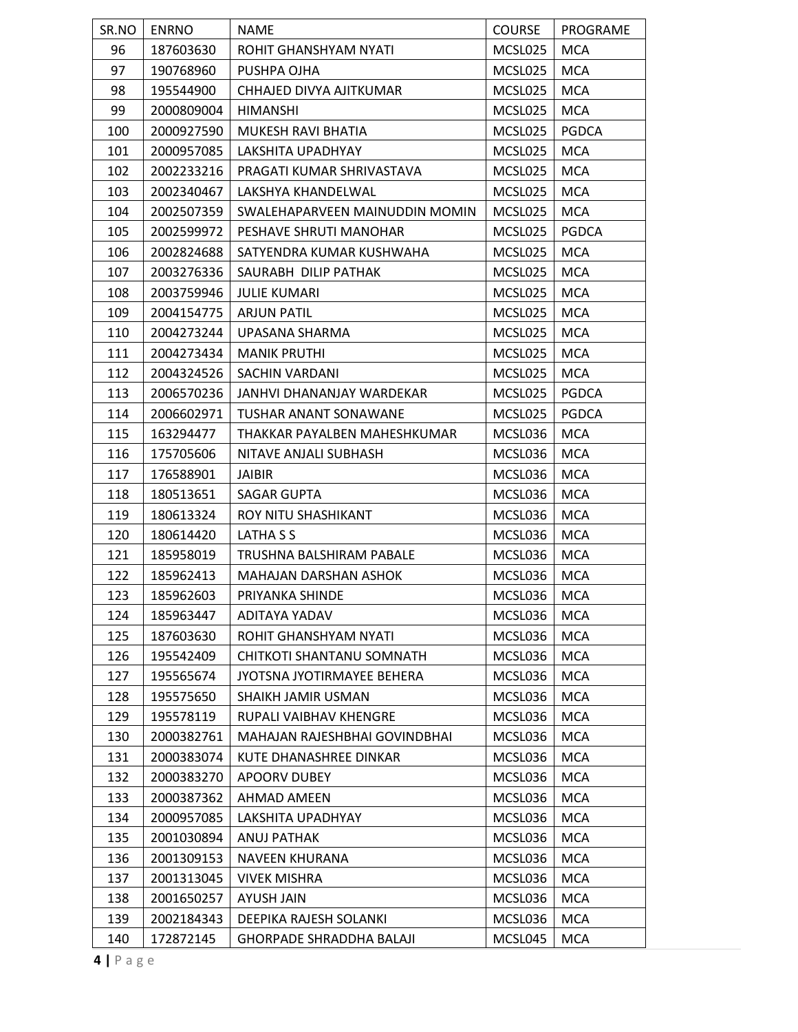| SR.NO | <b>ENRNO</b> | <b>NAME</b>                     | <b>COURSE</b> | PROGRAME     |
|-------|--------------|---------------------------------|---------------|--------------|
| 96    | 187603630    | ROHIT GHANSHYAM NYATI           | MCSL025       | <b>MCA</b>   |
| 97    | 190768960    | PUSHPA OJHA                     | MCSL025       | <b>MCA</b>   |
| 98    | 195544900    | CHHAJED DIVYA AJITKUMAR         | MCSL025       | <b>MCA</b>   |
| 99    | 2000809004   | <b>HIMANSHI</b>                 | MCSL025       | <b>MCA</b>   |
| 100   | 2000927590   | MUKESH RAVI BHATIA              | MCSL025       | <b>PGDCA</b> |
| 101   | 2000957085   | LAKSHITA UPADHYAY               | MCSL025       | <b>MCA</b>   |
| 102   | 2002233216   | PRAGATI KUMAR SHRIVASTAVA       | MCSL025       | <b>MCA</b>   |
| 103   | 2002340467   | LAKSHYA KHANDELWAL              | MCSL025       | <b>MCA</b>   |
| 104   | 2002507359   | SWALEHAPARVEEN MAINUDDIN MOMIN  | MCSL025       | <b>MCA</b>   |
| 105   | 2002599972   | PESHAVE SHRUTI MANOHAR          | MCSL025       | <b>PGDCA</b> |
| 106   | 2002824688   | SATYENDRA KUMAR KUSHWAHA        | MCSL025       | <b>MCA</b>   |
| 107   | 2003276336   | SAURABH DILIP PATHAK            | MCSL025       | <b>MCA</b>   |
| 108   | 2003759946   | <b>JULIE KUMARI</b>             | MCSL025       | <b>MCA</b>   |
| 109   | 2004154775   | <b>ARJUN PATIL</b>              | MCSL025       | <b>MCA</b>   |
| 110   | 2004273244   | UPASANA SHARMA                  | MCSL025       | <b>MCA</b>   |
| 111   | 2004273434   | <b>MANIK PRUTHI</b>             | MCSL025       | <b>MCA</b>   |
| 112   | 2004324526   | SACHIN VARDANI                  | MCSL025       | <b>MCA</b>   |
| 113   | 2006570236   | JANHVI DHANANJAY WARDEKAR       | MCSL025       | PGDCA        |
| 114   | 2006602971   | <b>TUSHAR ANANT SONAWANE</b>    | MCSL025       | <b>PGDCA</b> |
| 115   | 163294477    | THAKKAR PAYALBEN MAHESHKUMAR    | MCSL036       | <b>MCA</b>   |
| 116   | 175705606    | NITAVE ANJALI SUBHASH           | MCSL036       | <b>MCA</b>   |
| 117   | 176588901    | <b>JAIBIR</b>                   | MCSL036       | <b>MCA</b>   |
| 118   | 180513651    | <b>SAGAR GUPTA</b>              | MCSL036       | <b>MCA</b>   |
| 119   | 180613324    | ROY NITU SHASHIKANT             | MCSL036       | <b>MCA</b>   |
| 120   | 180614420    | LATHA S S                       | MCSL036       | <b>MCA</b>   |
| 121   | 185958019    | TRUSHNA BALSHIRAM PABALE        | MCSL036       | <b>MCA</b>   |
| 122   | 185962413    | <b>MAHAJAN DARSHAN ASHOK</b>    | MCSL036       | <b>MCA</b>   |
| 123   | 185962603    | PRIYANKA SHINDE                 | MCSL036       | <b>MCA</b>   |
| 124   | 185963447    | ADITAYA YADAV                   | MCSL036       | <b>MCA</b>   |
| 125   | 187603630    | ROHIT GHANSHYAM NYATI           | MCSL036       | <b>MCA</b>   |
| 126   | 195542409    | CHITKOTI SHANTANU SOMNATH       | MCSL036       | <b>MCA</b>   |
| 127   | 195565674    | JYOTSNA JYOTIRMAYEE BEHERA      | MCSL036       | <b>MCA</b>   |
| 128   | 195575650    | SHAIKH JAMIR USMAN              | MCSL036       | <b>MCA</b>   |
| 129   | 195578119    | RUPALI VAIBHAV KHENGRE          | MCSL036       | <b>MCA</b>   |
| 130   | 2000382761   | MAHAJAN RAJESHBHAI GOVINDBHAI   | MCSL036       | <b>MCA</b>   |
| 131   | 2000383074   | KUTE DHANASHREE DINKAR          | MCSL036       | <b>MCA</b>   |
| 132   | 2000383270   | APOORV DUBEY                    | MCSL036       | <b>MCA</b>   |
| 133   | 2000387362   | AHMAD AMEEN                     | MCSL036       | <b>MCA</b>   |
| 134   | 2000957085   | LAKSHITA UPADHYAY               | MCSL036       | <b>MCA</b>   |
| 135   | 2001030894   | ANUJ PATHAK                     | MCSL036       | <b>MCA</b>   |
| 136   | 2001309153   | NAVEEN KHURANA                  | MCSL036       | <b>MCA</b>   |
| 137   | 2001313045   | <b>VIVEK MISHRA</b>             | MCSL036       | <b>MCA</b>   |
| 138   | 2001650257   | AYUSH JAIN                      | MCSL036       | <b>MCA</b>   |
| 139   | 2002184343   | DEEPIKA RAJESH SOLANKI          | MCSL036       | <b>MCA</b>   |
| 140   | 172872145    | <b>GHORPADE SHRADDHA BALAJI</b> | MCSL045       | <b>MCA</b>   |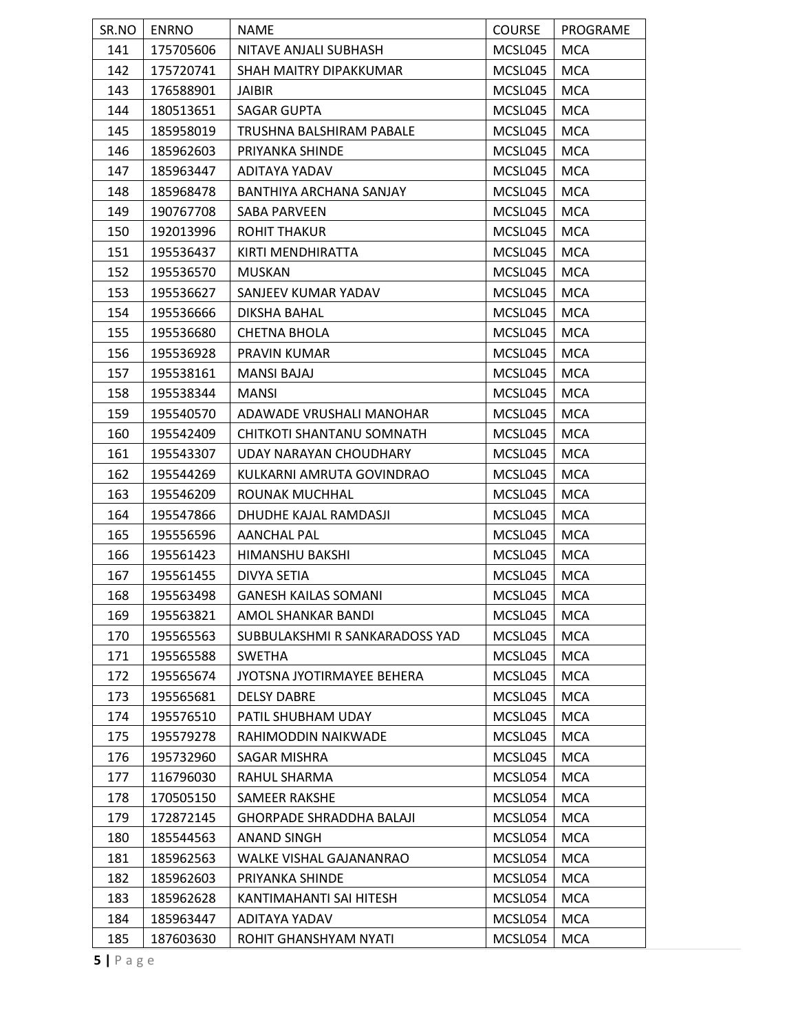| SR.NO | ENRNO     | <b>NAME</b>                     | <b>COURSE</b> | PROGRAME   |
|-------|-----------|---------------------------------|---------------|------------|
| 141   | 175705606 | NITAVE ANJALI SUBHASH           | MCSL045       | <b>MCA</b> |
| 142   | 175720741 | SHAH MAITRY DIPAKKUMAR          | MCSL045       | <b>MCA</b> |
| 143   | 176588901 | JAIBIR                          | MCSL045       | <b>MCA</b> |
| 144   | 180513651 | <b>SAGAR GUPTA</b>              | MCSL045       | <b>MCA</b> |
| 145   | 185958019 | TRUSHNA BALSHIRAM PABALE        | MCSL045       | <b>MCA</b> |
| 146   | 185962603 | PRIYANKA SHINDE                 | MCSL045       | <b>MCA</b> |
| 147   | 185963447 | ADITAYA YADAV                   | MCSL045       | <b>MCA</b> |
| 148   | 185968478 | BANTHIYA ARCHANA SANJAY         | MCSL045       | <b>MCA</b> |
| 149   | 190767708 | SABA PARVEEN                    | MCSL045       | <b>MCA</b> |
| 150   | 192013996 | <b>ROHIT THAKUR</b>             | MCSL045       | <b>MCA</b> |
| 151   | 195536437 | KIRTI MENDHIRATTA               | MCSL045       | <b>MCA</b> |
| 152   | 195536570 | <b>MUSKAN</b>                   | MCSL045       | <b>MCA</b> |
| 153   | 195536627 | SANJEEV KUMAR YADAV             | MCSL045       | <b>MCA</b> |
| 154   | 195536666 | DIKSHA BAHAL                    | MCSL045       | <b>MCA</b> |
| 155   | 195536680 | <b>CHETNA BHOLA</b>             | MCSL045       | <b>MCA</b> |
| 156   | 195536928 | PRAVIN KUMAR                    | MCSL045       | <b>MCA</b> |
| 157   | 195538161 | <b>MANSI BAJAJ</b>              | MCSL045       | <b>MCA</b> |
| 158   | 195538344 | <b>MANSI</b>                    | MCSL045       | <b>MCA</b> |
| 159   | 195540570 | ADAWADE VRUSHALI MANOHAR        | MCSL045       | <b>MCA</b> |
| 160   | 195542409 | CHITKOTI SHANTANU SOMNATH       | MCSL045       | <b>MCA</b> |
| 161   | 195543307 | UDAY NARAYAN CHOUDHARY          | MCSL045       | <b>MCA</b> |
| 162   | 195544269 | KULKARNI AMRUTA GOVINDRAO       | MCSL045       | <b>MCA</b> |
| 163   | 195546209 | ROUNAK MUCHHAL                  | MCSL045       | <b>MCA</b> |
| 164   | 195547866 | DHUDHE KAJAL RAMDASJI           | MCSL045       | <b>MCA</b> |
| 165   | 195556596 | AANCHAL PAL                     | MCSL045       | <b>MCA</b> |
| 166   | 195561423 | HIMANSHU BAKSHI                 | MCSL045       | <b>MCA</b> |
| 167   | 195561455 | DIVYA SETIA                     | MCSL045       | <b>MCA</b> |
| 168   | 195563498 | <b>GANESH KAILAS SOMANI</b>     | MCSL045       | <b>MCA</b> |
| 169   | 195563821 | AMOL SHANKAR BANDI              | MCSL045       | <b>MCA</b> |
| 170   | 195565563 | SUBBULAKSHMI R SANKARADOSS YAD  | MCSL045       | <b>MCA</b> |
| 171   | 195565588 | <b>SWETHA</b>                   | MCSL045       | <b>MCA</b> |
| 172   | 195565674 | JYOTSNA JYOTIRMAYEE BEHERA      | MCSL045       | <b>MCA</b> |
| 173   | 195565681 | <b>DELSY DABRE</b>              | MCSL045       | <b>MCA</b> |
| 174   | 195576510 | PATIL SHUBHAM UDAY              | MCSL045       | <b>MCA</b> |
| 175   | 195579278 | RAHIMODDIN NAIKWADE             | MCSL045       | <b>MCA</b> |
| 176   | 195732960 | SAGAR MISHRA                    | MCSL045       | <b>MCA</b> |
| 177   | 116796030 | RAHUL SHARMA                    | MCSL054       | <b>MCA</b> |
| 178   | 170505150 | SAMEER RAKSHE                   | MCSL054       | <b>MCA</b> |
| 179   | 172872145 | <b>GHORPADE SHRADDHA BALAJI</b> | MCSL054       | <b>MCA</b> |
| 180   | 185544563 | ANAND SINGH                     | MCSL054       | <b>MCA</b> |
| 181   | 185962563 | WALKE VISHAL GAJANANRAO         | MCSL054       | <b>MCA</b> |
| 182   | 185962603 | PRIYANKA SHINDE                 | MCSL054       | <b>MCA</b> |
| 183   | 185962628 | KANTIMAHANTI SAI HITESH         | MCSL054       | <b>MCA</b> |
| 184   | 185963447 | ADITAYA YADAV                   | MCSL054       | <b>MCA</b> |
| 185   | 187603630 | ROHIT GHANSHYAM NYATI           | MCSL054       | <b>MCA</b> |